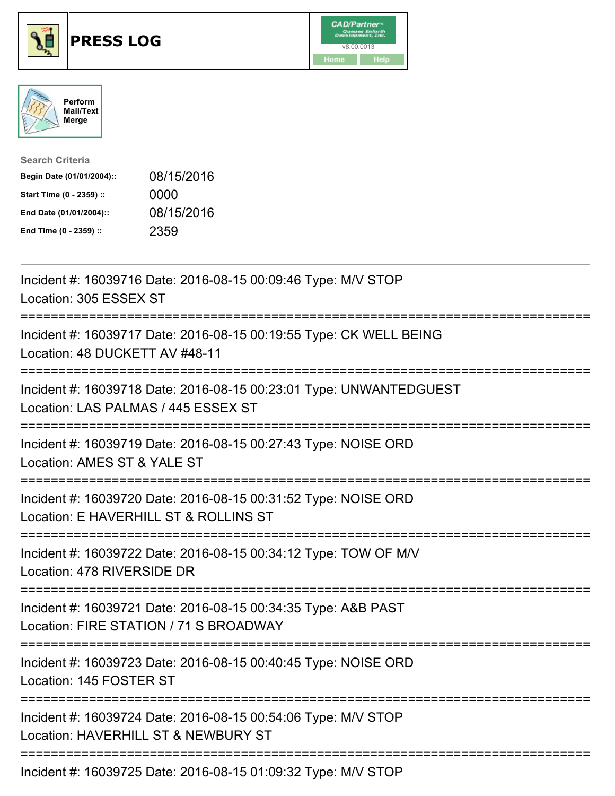





| <b>Search Criteria</b>    |            |
|---------------------------|------------|
| Begin Date (01/01/2004):: | 08/15/2016 |
| Start Time (0 - 2359) ::  | 0000       |
| End Date (01/01/2004)::   | 08/15/2016 |
| End Time (0 - 2359) ::    | 2359       |

| Incident #: 16039716 Date: 2016-08-15 00:09:46 Type: M/V STOP<br>Location: 305 ESSEX ST                                     |
|-----------------------------------------------------------------------------------------------------------------------------|
| Incident #: 16039717 Date: 2016-08-15 00:19:55 Type: CK WELL BEING<br>Location: 48 DUCKETT AV #48-11                        |
| Incident #: 16039718 Date: 2016-08-15 00:23:01 Type: UNWANTEDGUEST<br>Location: LAS PALMAS / 445 ESSEX ST                   |
| Incident #: 16039719 Date: 2016-08-15 00:27:43 Type: NOISE ORD<br>Location: AMES ST & YALE ST                               |
| Incident #: 16039720 Date: 2016-08-15 00:31:52 Type: NOISE ORD<br>Location: E HAVERHILL ST & ROLLINS ST                     |
| Incident #: 16039722 Date: 2016-08-15 00:34:12 Type: TOW OF M/V<br>Location: 478 RIVERSIDE DR                               |
| Incident #: 16039721 Date: 2016-08-15 00:34:35 Type: A&B PAST<br>Location: FIRE STATION / 71 S BROADWAY                     |
| ;=============================<br>Incident #: 16039723 Date: 2016-08-15 00:40:45 Type: NOISE ORD<br>Location: 145 FOSTER ST |
| Incident #: 16039724 Date: 2016-08-15 00:54:06 Type: M/V STOP<br>Location: HAVERHILL ST & NEWBURY ST                        |
| ===============================<br>Incident #: 16039725 Date: 2016-08-15 01:09:32 Type: M/V STOP                            |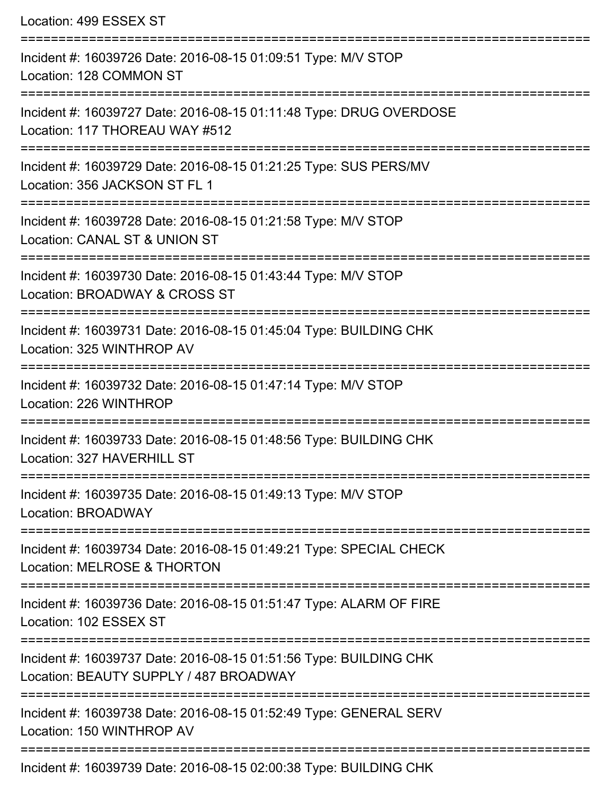| Location: 499 ESSEX ST                                                                                                                     |
|--------------------------------------------------------------------------------------------------------------------------------------------|
| Incident #: 16039726 Date: 2016-08-15 01:09:51 Type: M/V STOP<br>Location: 128 COMMON ST                                                   |
| Incident #: 16039727 Date: 2016-08-15 01:11:48 Type: DRUG OVERDOSE<br>Location: 117 THOREAU WAY #512<br>---------------------------------- |
| Incident #: 16039729 Date: 2016-08-15 01:21:25 Type: SUS PERS/MV<br>Location: 356 JACKSON ST FL 1                                          |
| Incident #: 16039728 Date: 2016-08-15 01:21:58 Type: M/V STOP<br>Location: CANAL ST & UNION ST                                             |
| :===========================<br>Incident #: 16039730 Date: 2016-08-15 01:43:44 Type: M/V STOP<br>Location: BROADWAY & CROSS ST             |
| Incident #: 16039731 Date: 2016-08-15 01:45:04 Type: BUILDING CHK<br>Location: 325 WINTHROP AV                                             |
| Incident #: 16039732 Date: 2016-08-15 01:47:14 Type: M/V STOP<br>Location: 226 WINTHROP                                                    |
| Incident #: 16039733 Date: 2016-08-15 01:48:56 Type: BUILDING CHK<br>Location: 327 HAVERHILL ST                                            |
| Incident #: 16039735 Date: 2016-08-15 01:49:13 Type: M/V STOP<br>Location: BROADWAY                                                        |
| Incident #: 16039734 Date: 2016-08-15 01:49:21 Type: SPECIAL CHECK<br>Location: MELROSE & THORTON                                          |
| Incident #: 16039736 Date: 2016-08-15 01:51:47 Type: ALARM OF FIRE<br>Location: 102 ESSEX ST                                               |
| Incident #: 16039737 Date: 2016-08-15 01:51:56 Type: BUILDING CHK<br>Location: BEAUTY SUPPLY / 487 BROADWAY                                |
| Incident #: 16039738 Date: 2016-08-15 01:52:49 Type: GENERAL SERV<br>Location: 150 WINTHROP AV                                             |
| Incident #: 16039739 Date: 2016-08-15 02:00:38 Type: BUILDING CHK                                                                          |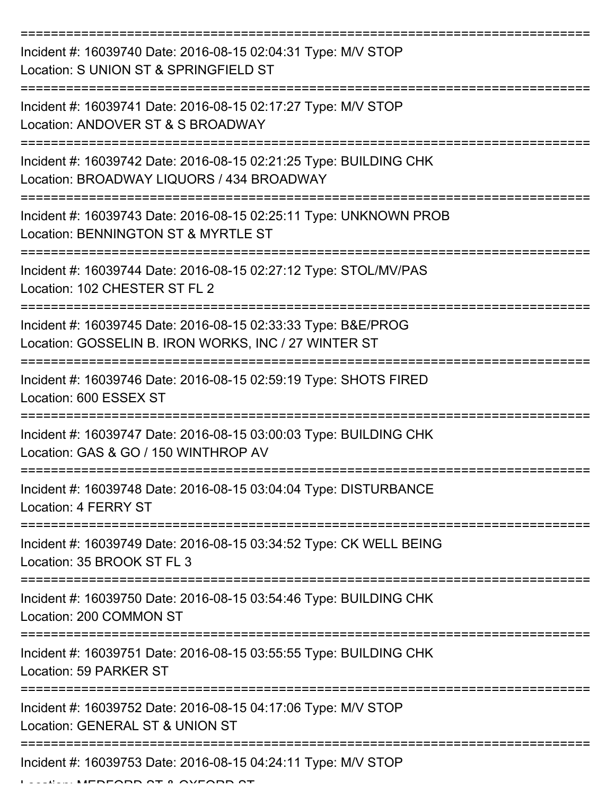| Incident #: 16039740 Date: 2016-08-15 02:04:31 Type: M/V STOP<br>Location: S UNION ST & SPRINGFIELD ST                  |
|-------------------------------------------------------------------------------------------------------------------------|
| Incident #: 16039741 Date: 2016-08-15 02:17:27 Type: M/V STOP<br>Location: ANDOVER ST & S BROADWAY                      |
| Incident #: 16039742 Date: 2016-08-15 02:21:25 Type: BUILDING CHK<br>Location: BROADWAY LIQUORS / 434 BROADWAY          |
| Incident #: 16039743 Date: 2016-08-15 02:25:11 Type: UNKNOWN PROB<br>Location: BENNINGTON ST & MYRTLE ST                |
| Incident #: 16039744 Date: 2016-08-15 02:27:12 Type: STOL/MV/PAS<br>Location: 102 CHESTER ST FL 2                       |
| Incident #: 16039745 Date: 2016-08-15 02:33:33 Type: B&E/PROG<br>Location: GOSSELIN B. IRON WORKS, INC / 27 WINTER ST   |
| Incident #: 16039746 Date: 2016-08-15 02:59:19 Type: SHOTS FIRED<br>Location: 600 ESSEX ST                              |
| Incident #: 16039747 Date: 2016-08-15 03:00:03 Type: BUILDING CHK<br>Location: GAS & GO / 150 WINTHROP AV               |
| Incident #: 16039748 Date: 2016-08-15 03:04:04 Type: DISTURBANCE<br>Location: 4 FERRY ST                                |
| Incident #: 16039749 Date: 2016-08-15 03:34:52 Type: CK WELL BEING<br>Location: 35 BROOK ST FL 3                        |
| Incident #: 16039750 Date: 2016-08-15 03:54:46 Type: BUILDING CHK<br>Location: 200 COMMON ST                            |
| ========================<br>Incident #: 16039751 Date: 2016-08-15 03:55:55 Type: BUILDING CHK<br>Location: 59 PARKER ST |
| Incident #: 16039752 Date: 2016-08-15 04:17:06 Type: M/V STOP<br>Location: GENERAL ST & UNION ST                        |
| Incident #: 16039753 Date: 2016-08-15 04:24:11 Type: M/V STOP                                                           |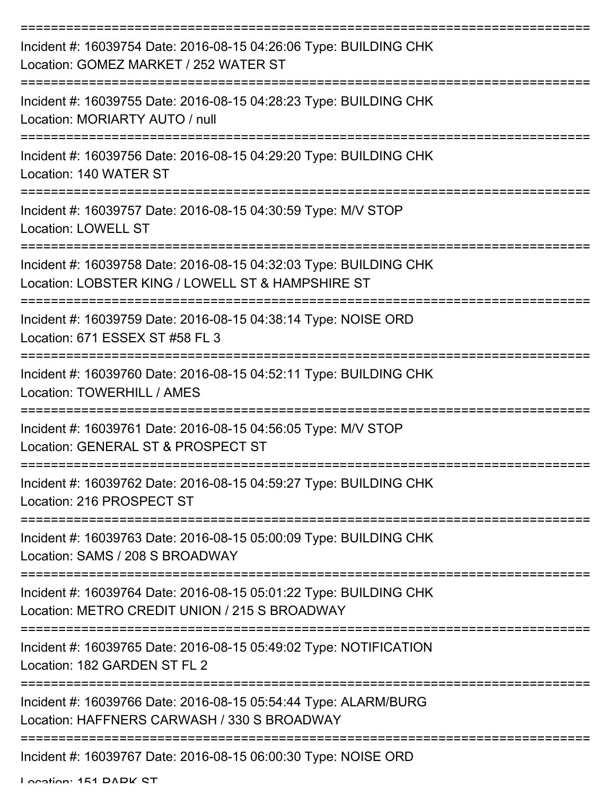| Incident #: 16039754 Date: 2016-08-15 04:26:06 Type: BUILDING CHK<br>Location: GOMEZ MARKET / 252 WATER ST             |
|------------------------------------------------------------------------------------------------------------------------|
| Incident #: 16039755 Date: 2016-08-15 04:28:23 Type: BUILDING CHK<br>Location: MORIARTY AUTO / null                    |
| Incident #: 16039756 Date: 2016-08-15 04:29:20 Type: BUILDING CHK<br>Location: 140 WATER ST                            |
| Incident #: 16039757 Date: 2016-08-15 04:30:59 Type: M/V STOP<br><b>Location: LOWELL ST</b>                            |
| Incident #: 16039758 Date: 2016-08-15 04:32:03 Type: BUILDING CHK<br>Location: LOBSTER KING / LOWELL ST & HAMPSHIRE ST |
| Incident #: 16039759 Date: 2016-08-15 04:38:14 Type: NOISE ORD<br>Location: 671 ESSEX ST #58 FL 3                      |
| Incident #: 16039760 Date: 2016-08-15 04:52:11 Type: BUILDING CHK<br>Location: TOWERHILL / AMES                        |
| Incident #: 16039761 Date: 2016-08-15 04:56:05 Type: M/V STOP<br>Location: GENERAL ST & PROSPECT ST                    |
| Incident #: 16039762 Date: 2016-08-15 04:59:27 Type: BUILDING CHK<br>Location: 216 PROSPECT ST                         |
| Incident #: 16039763 Date: 2016-08-15 05:00:09 Type: BUILDING CHK<br>Location: SAMS / 208 S BROADWAY                   |
| Incident #: 16039764 Date: 2016-08-15 05:01:22 Type: BUILDING CHK<br>Location: METRO CREDIT UNION / 215 S BROADWAY     |
| Incident #: 16039765 Date: 2016-08-15 05:49:02 Type: NOTIFICATION<br>Location: 182 GARDEN ST FL 2                      |
| Incident #: 16039766 Date: 2016-08-15 05:54:44 Type: ALARM/BURG<br>Location: HAFFNERS CARWASH / 330 S BROADWAY         |
| Incident #: 16039767 Date: 2016-08-15 06:00:30 Type: NOISE ORD                                                         |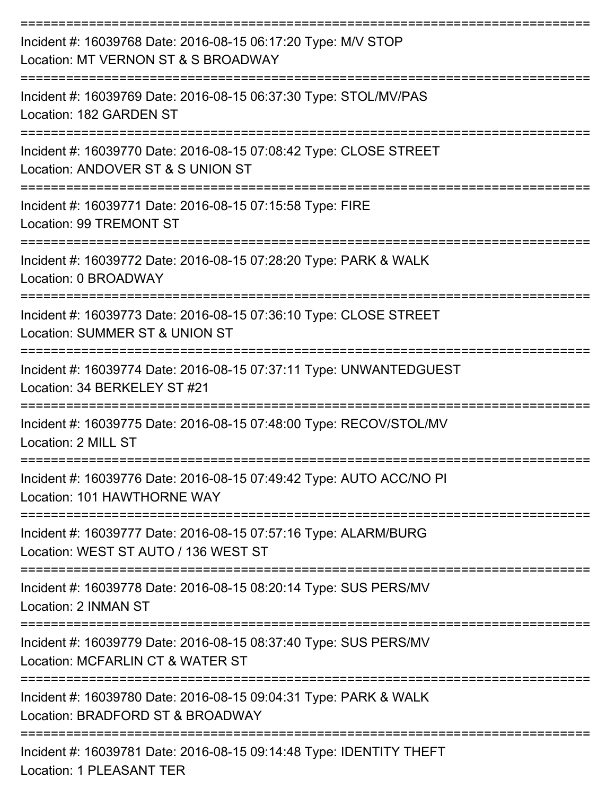| Incident #: 16039768 Date: 2016-08-15 06:17:20 Type: M/V STOP<br>Location: MT VERNON ST & S BROADWAY    |
|---------------------------------------------------------------------------------------------------------|
| Incident #: 16039769 Date: 2016-08-15 06:37:30 Type: STOL/MV/PAS<br>Location: 182 GARDEN ST             |
| Incident #: 16039770 Date: 2016-08-15 07:08:42 Type: CLOSE STREET<br>Location: ANDOVER ST & S UNION ST  |
| Incident #: 16039771 Date: 2016-08-15 07:15:58 Type: FIRE<br>Location: 99 TREMONT ST                    |
| Incident #: 16039772 Date: 2016-08-15 07:28:20 Type: PARK & WALK<br>Location: 0 BROADWAY                |
| Incident #: 16039773 Date: 2016-08-15 07:36:10 Type: CLOSE STREET<br>Location: SUMMER ST & UNION ST     |
| Incident #: 16039774 Date: 2016-08-15 07:37:11 Type: UNWANTEDGUEST<br>Location: 34 BERKELEY ST #21      |
| Incident #: 16039775 Date: 2016-08-15 07:48:00 Type: RECOV/STOL/MV<br>Location: 2 MILL ST               |
| Incident #: 16039776 Date: 2016-08-15 07:49:42 Type: AUTO ACC/NO PI<br>Location: 101 HAWTHORNE WAY      |
| Incident #: 16039777 Date: 2016-08-15 07:57:16 Type: ALARM/BURG<br>Location: WEST ST AUTO / 136 WEST ST |
| Incident #: 16039778 Date: 2016-08-15 08:20:14 Type: SUS PERS/MV<br>Location: 2 INMAN ST                |
| Incident #: 16039779 Date: 2016-08-15 08:37:40 Type: SUS PERS/MV<br>Location: MCFARLIN CT & WATER ST    |
| Incident #: 16039780 Date: 2016-08-15 09:04:31 Type: PARK & WALK<br>Location: BRADFORD ST & BROADWAY    |
| Incident #: 16039781 Date: 2016-08-15 09:14:48 Type: IDENTITY THEFT                                     |

Location: 1 PLEASANT TER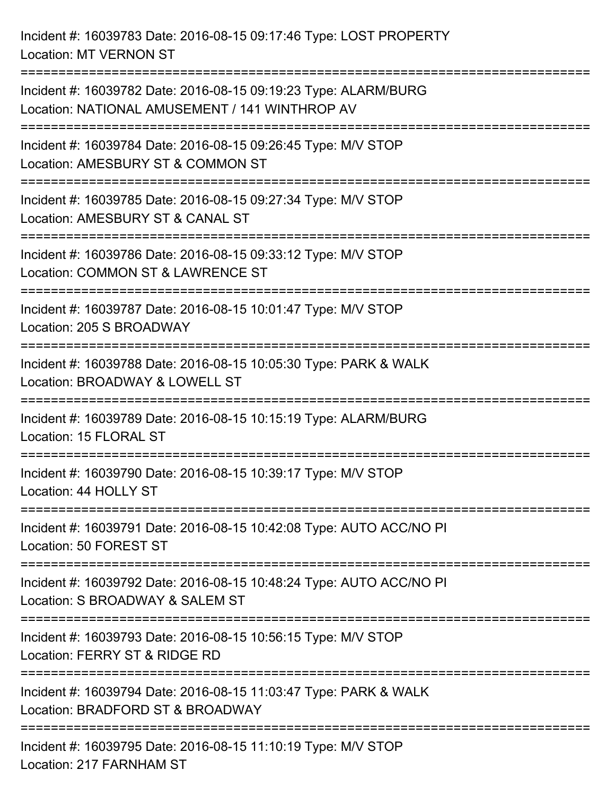Incident #: 16039783 Date: 2016-08-15 09:17:46 Type: LOST PROPERTY Location: MT VERNON ST

=========================================================================== Incident #: 16039782 Date: 2016-08-15 09:19:23 Type: ALARM/BURG Location: NATIONAL AMUSEMENT / 141 WINTHROP AV =========================================================================== Incident #: 16039784 Date: 2016-08-15 09:26:45 Type: M/V STOP Location: AMESBURY ST & COMMON ST =========================================================================== Incident #: 16039785 Date: 2016-08-15 09:27:34 Type: M/V STOP Location: AMESBURY ST & CANAL ST =========================================================================== Incident #: 16039786 Date: 2016-08-15 09:33:12 Type: M/V STOP Location: COMMON ST & LAWRENCE ST =========================================================================== Incident #: 16039787 Date: 2016-08-15 10:01:47 Type: M/V STOP Location: 205 S BROADWAY =========================================================================== Incident #: 16039788 Date: 2016-08-15 10:05:30 Type: PARK & WALK Location: BROADWAY & LOWELL ST =========================================================================== Incident #: 16039789 Date: 2016-08-15 10:15:19 Type: ALARM/BURG Location: 15 FLORAL ST =========================================================================== Incident #: 16039790 Date: 2016-08-15 10:39:17 Type: M/V STOP Location: 44 HOLLY ST =========================================================================== Incident #: 16039791 Date: 2016-08-15 10:42:08 Type: AUTO ACC/NO PI Location: 50 FOREST ST =========================================================================== Incident #: 16039792 Date: 2016-08-15 10:48:24 Type: AUTO ACC/NO PI Location: S BROADWAY & SALEM ST =========================================================================== Incident #: 16039793 Date: 2016-08-15 10:56:15 Type: M/V STOP Location: FERRY ST & RIDGE RD =========================================================================== Incident #: 16039794 Date: 2016-08-15 11:03:47 Type: PARK & WALK Location: BRADFORD ST & BROADWAY =========================================================================== Incident #: 16039795 Date: 2016-08-15 11:10:19 Type: M/V STOP Location: 217 FARNHAM ST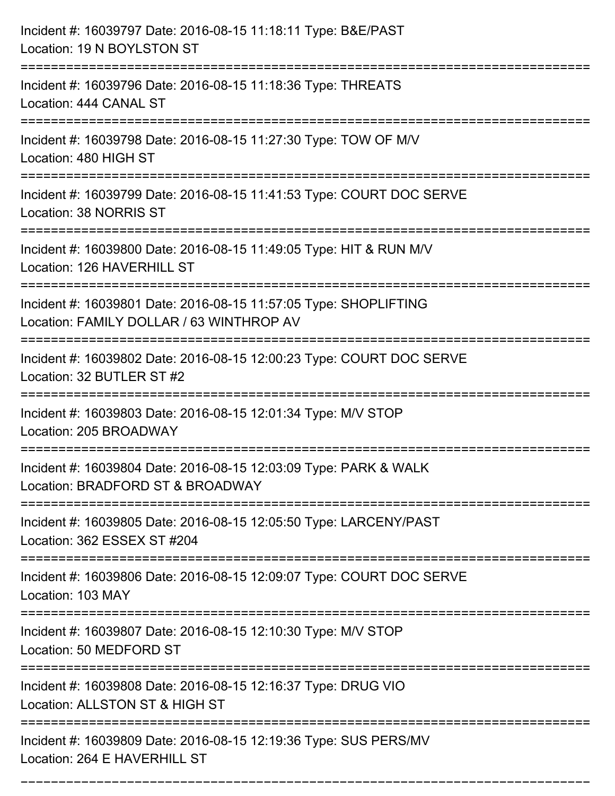| Incident #: 16039797 Date: 2016-08-15 11:18:11 Type: B&E/PAST<br>Location: 19 N BOYLSTON ST                  |
|--------------------------------------------------------------------------------------------------------------|
| Incident #: 16039796 Date: 2016-08-15 11:18:36 Type: THREATS<br>Location: 444 CANAL ST                       |
| Incident #: 16039798 Date: 2016-08-15 11:27:30 Type: TOW OF M/V<br>Location: 480 HIGH ST                     |
| Incident #: 16039799 Date: 2016-08-15 11:41:53 Type: COURT DOC SERVE<br>Location: 38 NORRIS ST               |
| Incident #: 16039800 Date: 2016-08-15 11:49:05 Type: HIT & RUN M/V<br>Location: 126 HAVERHILL ST             |
| Incident #: 16039801 Date: 2016-08-15 11:57:05 Type: SHOPLIFTING<br>Location: FAMILY DOLLAR / 63 WINTHROP AV |
| Incident #: 16039802 Date: 2016-08-15 12:00:23 Type: COURT DOC SERVE<br>Location: 32 BUTLER ST #2            |
| Incident #: 16039803 Date: 2016-08-15 12:01:34 Type: M/V STOP<br>Location: 205 BROADWAY                      |
| Incident #: 16039804 Date: 2016-08-15 12:03:09 Type: PARK & WALK<br>Location: BRADFORD ST & BROADWAY         |
| Incident #: 16039805 Date: 2016-08-15 12:05:50 Type: LARCENY/PAST<br>Location: 362 ESSEX ST #204             |
| Incident #: 16039806 Date: 2016-08-15 12:09:07 Type: COURT DOC SERVE<br>Location: 103 MAY                    |
| Incident #: 16039807 Date: 2016-08-15 12:10:30 Type: M/V STOP<br>Location: 50 MEDFORD ST                     |
| Incident #: 16039808 Date: 2016-08-15 12:16:37 Type: DRUG VIO<br>Location: ALLSTON ST & HIGH ST              |
| Incident #: 16039809 Date: 2016-08-15 12:19:36 Type: SUS PERS/MV<br>Location: 264 E HAVERHILL ST             |

===========================================================================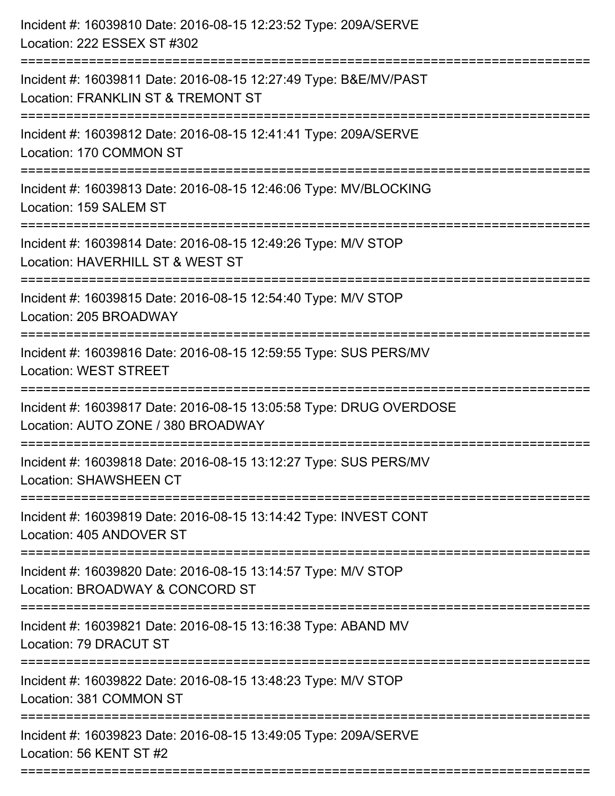| Incident #: 16039810 Date: 2016-08-15 12:23:52 Type: 209A/SERVE<br>Location: 222 ESSEX ST #302                                         |
|----------------------------------------------------------------------------------------------------------------------------------------|
| :==========================<br>Incident #: 16039811 Date: 2016-08-15 12:27:49 Type: B&E/MV/PAST<br>Location: FRANKLIN ST & TREMONT ST  |
| Incident #: 16039812 Date: 2016-08-15 12:41:41 Type: 209A/SERVE<br>Location: 170 COMMON ST<br>====================                     |
| Incident #: 16039813 Date: 2016-08-15 12:46:06 Type: MV/BLOCKING<br>Location: 159 SALEM ST                                             |
| Incident #: 16039814 Date: 2016-08-15 12:49:26 Type: M/V STOP<br>Location: HAVERHILL ST & WEST ST<br>==============================    |
| Incident #: 16039815 Date: 2016-08-15 12:54:40 Type: M/V STOP<br>Location: 205 BROADWAY                                                |
| Incident #: 16039816 Date: 2016-08-15 12:59:55 Type: SUS PERS/MV<br><b>Location: WEST STREET</b><br>:================================= |
| Incident #: 16039817 Date: 2016-08-15 13:05:58 Type: DRUG OVERDOSE<br>Location: AUTO ZONE / 380 BROADWAY                               |
| Incident #: 16039818 Date: 2016-08-15 13:12:27 Type: SUS PERS/MV<br><b>Location: SHAWSHEEN CT</b>                                      |
| Incident #: 16039819 Date: 2016-08-15 13:14:42 Type: INVEST CONT<br>Location: 405 ANDOVER ST                                           |
| Incident #: 16039820 Date: 2016-08-15 13:14:57 Type: M/V STOP<br>Location: BROADWAY & CONCORD ST                                       |
| ---------------------<br>Incident #: 16039821 Date: 2016-08-15 13:16:38 Type: ABAND MV<br>Location: 79 DRACUT ST                       |
| Incident #: 16039822 Date: 2016-08-15 13:48:23 Type: M/V STOP<br>Location: 381 COMMON ST                                               |
| Incident #: 16039823 Date: 2016-08-15 13:49:05 Type: 209A/SERVE<br>Location: 56 KENT ST #2                                             |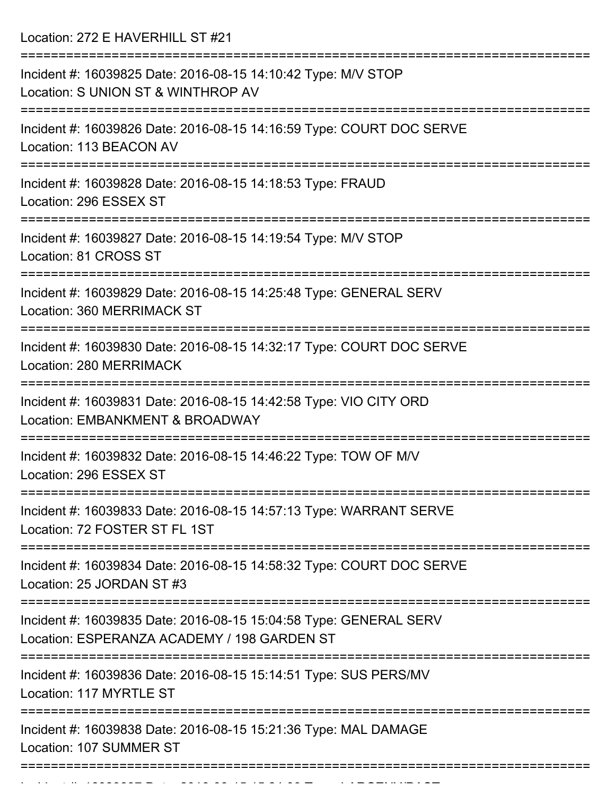Location: 272 E HAVERHILL ST #21

| Incident #: 16039825 Date: 2016-08-15 14:10:42 Type: M/V STOP<br>Location: S UNION ST & WINTHROP AV              |
|------------------------------------------------------------------------------------------------------------------|
| Incident #: 16039826 Date: 2016-08-15 14:16:59 Type: COURT DOC SERVE<br>Location: 113 BEACON AV                  |
| Incident #: 16039828 Date: 2016-08-15 14:18:53 Type: FRAUD<br>Location: 296 ESSEX ST                             |
| Incident #: 16039827 Date: 2016-08-15 14:19:54 Type: M/V STOP<br>Location: 81 CROSS ST                           |
| Incident #: 16039829 Date: 2016-08-15 14:25:48 Type: GENERAL SERV<br>Location: 360 MERRIMACK ST                  |
| Incident #: 16039830 Date: 2016-08-15 14:32:17 Type: COURT DOC SERVE<br>Location: 280 MERRIMACK                  |
| Incident #: 16039831 Date: 2016-08-15 14:42:58 Type: VIO CITY ORD<br>Location: EMBANKMENT & BROADWAY             |
| Incident #: 16039832 Date: 2016-08-15 14:46:22 Type: TOW OF M/V<br>Location: 296 ESSEX ST                        |
| Incident #: 16039833 Date: 2016-08-15 14:57:13 Type: WARRANT SERVE<br>Location: 72 FOSTER ST FL 1ST              |
| Incident #: 16039834 Date: 2016-08-15 14:58:32 Type: COURT DOC SERVE<br>Location: 25 JORDAN ST #3                |
| Incident #: 16039835 Date: 2016-08-15 15:04:58 Type: GENERAL SERV<br>Location: ESPERANZA ACADEMY / 198 GARDEN ST |
| Incident #: 16039836 Date: 2016-08-15 15:14:51 Type: SUS PERS/MV<br>Location: 117 MYRTLE ST                      |
| Incident #: 16039838 Date: 2016-08-15 15:21:36 Type: MAL DAMAGE<br>Location: 107 SUMMER ST                       |
|                                                                                                                  |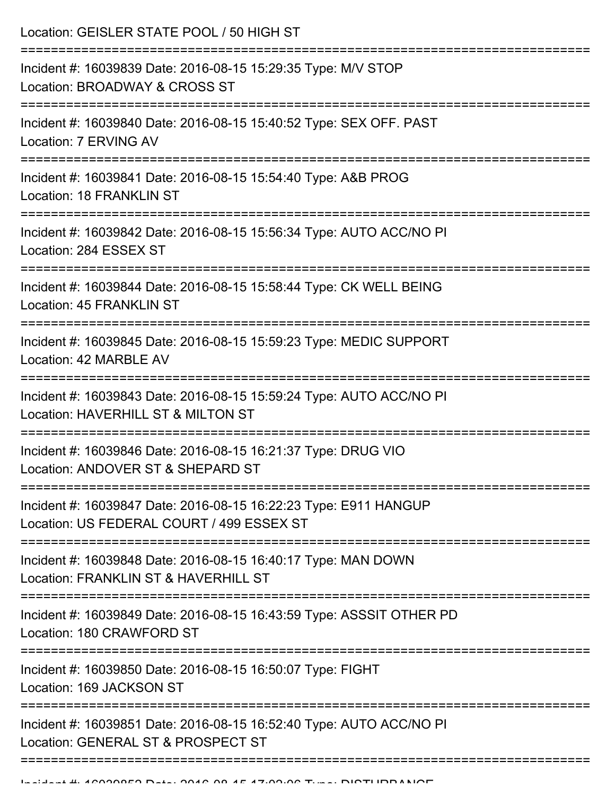Location: GEISLER STATE POOL / 50 HIGH ST

| Incident #: 16039839 Date: 2016-08-15 15:29:35 Type: M/V STOP<br>Location: BROADWAY & CROSS ST                |
|---------------------------------------------------------------------------------------------------------------|
| Incident #: 16039840 Date: 2016-08-15 15:40:52 Type: SEX OFF. PAST<br>Location: 7 ERVING AV                   |
| Incident #: 16039841 Date: 2016-08-15 15:54:40 Type: A&B PROG<br>Location: 18 FRANKLIN ST                     |
| Incident #: 16039842 Date: 2016-08-15 15:56:34 Type: AUTO ACC/NO PI<br>Location: 284 ESSEX ST                 |
| Incident #: 16039844 Date: 2016-08-15 15:58:44 Type: CK WELL BEING<br><b>Location: 45 FRANKLIN ST</b>         |
| Incident #: 16039845 Date: 2016-08-15 15:59:23 Type: MEDIC SUPPORT<br>Location: 42 MARBLE AV                  |
| Incident #: 16039843 Date: 2016-08-15 15:59:24 Type: AUTO ACC/NO PI<br>Location: HAVERHILL ST & MILTON ST     |
| Incident #: 16039846 Date: 2016-08-15 16:21:37 Type: DRUG VIO<br>Location: ANDOVER ST & SHEPARD ST            |
| Incident #: 16039847 Date: 2016-08-15 16:22:23 Type: E911 HANGUP<br>Location: US FEDERAL COURT / 499 ESSEX ST |
| Incident #: 16039848 Date: 2016-08-15 16:40:17 Type: MAN DOWN<br>Location: FRANKLIN ST & HAVERHILL ST         |
| Incident #: 16039849 Date: 2016-08-15 16:43:59 Type: ASSSIT OTHER PD<br>Location: 180 CRAWFORD ST             |
| Incident #: 16039850 Date: 2016-08-15 16:50:07 Type: FIGHT<br>Location: 169 JACKSON ST                        |
| Incident #: 16039851 Date: 2016-08-15 16:52:40 Type: AUTO ACC/NO PI<br>Location: GENERAL ST & PROSPECT ST     |
|                                                                                                               |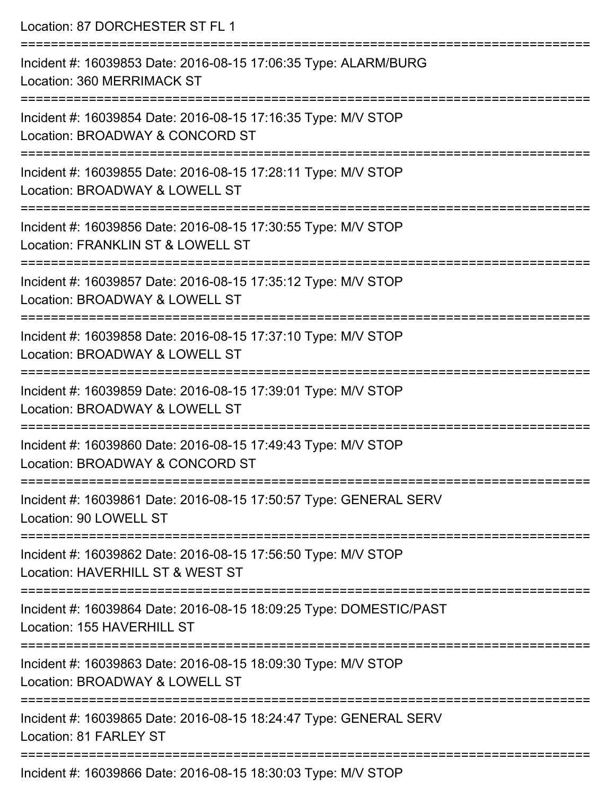| Location: 87 DORCHESTER ST FL 1                                                                                                            |
|--------------------------------------------------------------------------------------------------------------------------------------------|
| Incident #: 16039853 Date: 2016-08-15 17:06:35 Type: ALARM/BURG<br>Location: 360 MERRIMACK ST                                              |
| :=====================================<br>Incident #: 16039854 Date: 2016-08-15 17:16:35 Type: M/V STOP<br>Location: BROADWAY & CONCORD ST |
| Incident #: 16039855 Date: 2016-08-15 17:28:11 Type: M/V STOP<br>Location: BROADWAY & LOWELL ST                                            |
| =============================<br>Incident #: 16039856 Date: 2016-08-15 17:30:55 Type: M/V STOP<br>Location: FRANKLIN ST & LOWELL ST        |
| Incident #: 16039857 Date: 2016-08-15 17:35:12 Type: M/V STOP<br>Location: BROADWAY & LOWELL ST                                            |
| :=========================<br>Incident #: 16039858 Date: 2016-08-15 17:37:10 Type: M/V STOP<br>Location: BROADWAY & LOWELL ST              |
| =======================<br>Incident #: 16039859 Date: 2016-08-15 17:39:01 Type: M/V STOP<br>Location: BROADWAY & LOWELL ST                 |
| ===============<br>Incident #: 16039860 Date: 2016-08-15 17:49:43 Type: M/V STOP<br>Location: BROADWAY & CONCORD ST                        |
| Incident #: 16039861 Date: 2016-08-15 17:50:57 Type: GENERAL SERV<br>Location: 90 LOWELL ST                                                |
| Incident #: 16039862 Date: 2016-08-15 17:56:50 Type: M/V STOP<br>Location: HAVERHILL ST & WEST ST                                          |
| Incident #: 16039864 Date: 2016-08-15 18:09:25 Type: DOMESTIC/PAST<br>Location: 155 HAVERHILL ST                                           |
| Incident #: 16039863 Date: 2016-08-15 18:09:30 Type: M/V STOP<br>Location: BROADWAY & LOWELL ST                                            |
| Incident #: 16039865 Date: 2016-08-15 18:24:47 Type: GENERAL SERV<br>Location: 81 FARLEY ST                                                |
| $Incidant #: 16030866$ Date: $2016_08_15$ $18.30.03$ Type: $MNP$ STOD                                                                      |

Incident #: 16039866 Date: 2016-08-15 18:30:03 Type: M/V STOP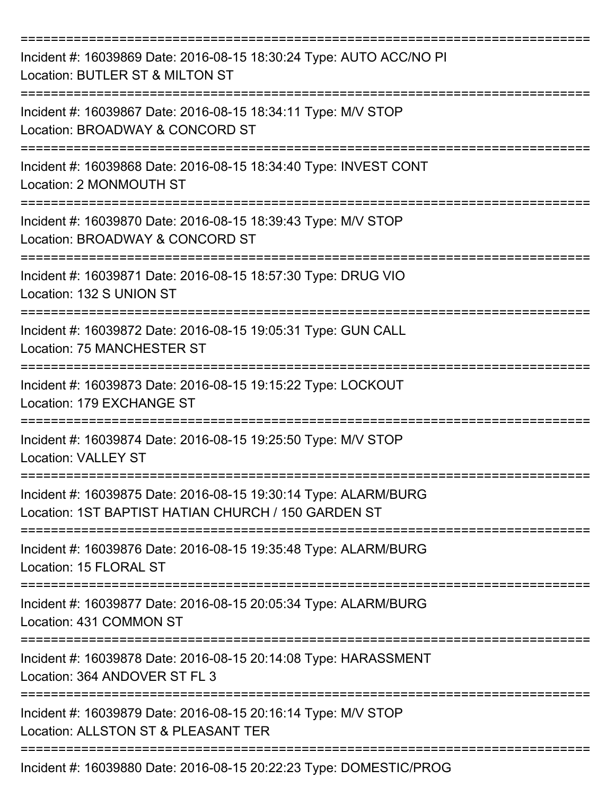| Incident #: 16039869 Date: 2016-08-15 18:30:24 Type: AUTO ACC/NO PI<br>Location: BUTLER ST & MILTON ST                 |
|------------------------------------------------------------------------------------------------------------------------|
| Incident #: 16039867 Date: 2016-08-15 18:34:11 Type: M/V STOP<br>Location: BROADWAY & CONCORD ST                       |
| Incident #: 16039868 Date: 2016-08-15 18:34:40 Type: INVEST CONT<br>Location: 2 MONMOUTH ST                            |
| Incident #: 16039870 Date: 2016-08-15 18:39:43 Type: M/V STOP<br>Location: BROADWAY & CONCORD ST                       |
| Incident #: 16039871 Date: 2016-08-15 18:57:30 Type: DRUG VIO<br>Location: 132 S UNION ST                              |
| Incident #: 16039872 Date: 2016-08-15 19:05:31 Type: GUN CALL<br>Location: 75 MANCHESTER ST                            |
| Incident #: 16039873 Date: 2016-08-15 19:15:22 Type: LOCKOUT<br>Location: 179 EXCHANGE ST                              |
| Incident #: 16039874 Date: 2016-08-15 19:25:50 Type: M/V STOP<br><b>Location: VALLEY ST</b>                            |
| Incident #: 16039875 Date: 2016-08-15 19:30:14 Type: ALARM/BURG<br>Location: 1ST BAPTIST HATIAN CHURCH / 150 GARDEN ST |
| Incident #: 16039876 Date: 2016-08-15 19:35:48 Type: ALARM/BURG<br>Location: 15 FLORAL ST                              |
| Incident #: 16039877 Date: 2016-08-15 20:05:34 Type: ALARM/BURG<br>Location: 431 COMMON ST                             |
| Incident #: 16039878 Date: 2016-08-15 20:14:08 Type: HARASSMENT<br>Location: 364 ANDOVER ST FL 3                       |
| Incident #: 16039879 Date: 2016-08-15 20:16:14 Type: M/V STOP<br>Location: ALLSTON ST & PLEASANT TER                   |
| Incident #: 16039880 Date: 2016-08-15 20:22:23 Type: DOMESTIC/PROG                                                     |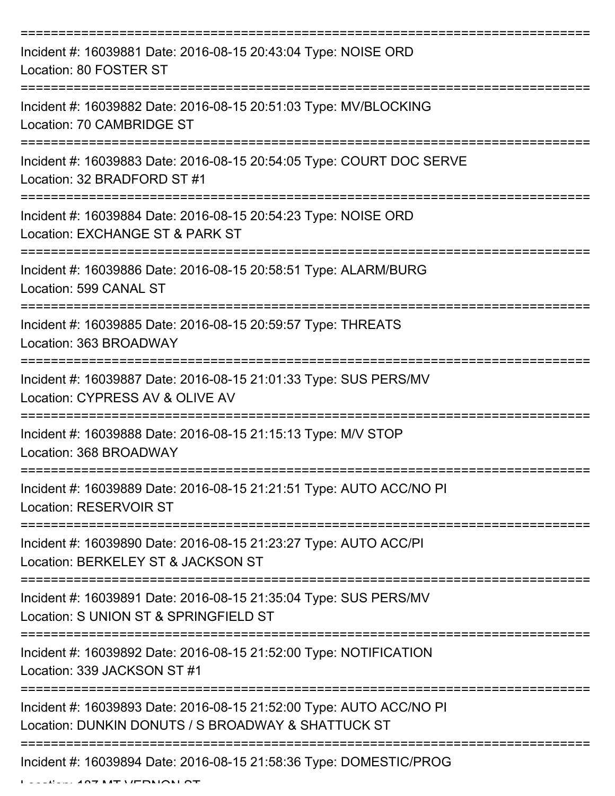| Incident #: 16039881 Date: 2016-08-15 20:43:04 Type: NOISE ORD<br>Location: 80 FOSTER ST                                  |
|---------------------------------------------------------------------------------------------------------------------------|
| Incident #: 16039882 Date: 2016-08-15 20:51:03 Type: MV/BLOCKING<br>Location: 70 CAMBRIDGE ST                             |
| Incident #: 16039883 Date: 2016-08-15 20:54:05 Type: COURT DOC SERVE<br>Location: 32 BRADFORD ST #1                       |
| Incident #: 16039884 Date: 2016-08-15 20:54:23 Type: NOISE ORD<br>Location: EXCHANGE ST & PARK ST                         |
| Incident #: 16039886 Date: 2016-08-15 20:58:51 Type: ALARM/BURG<br>Location: 599 CANAL ST                                 |
| Incident #: 16039885 Date: 2016-08-15 20:59:57 Type: THREATS<br>Location: 363 BROADWAY                                    |
| Incident #: 16039887 Date: 2016-08-15 21:01:33 Type: SUS PERS/MV<br>Location: CYPRESS AV & OLIVE AV                       |
| Incident #: 16039888 Date: 2016-08-15 21:15:13 Type: M/V STOP<br>Location: 368 BROADWAY                                   |
| Incident #: 16039889 Date: 2016-08-15 21:21:51 Type: AUTO ACC/NO PI<br><b>Location: RESERVOIR ST</b>                      |
| Incident #: 16039890 Date: 2016-08-15 21:23:27 Type: AUTO ACC/PI<br>Location: BERKELEY ST & JACKSON ST                    |
| Incident #: 16039891 Date: 2016-08-15 21:35:04 Type: SUS PERS/MV<br>Location: S UNION ST & SPRINGFIELD ST                 |
| Incident #: 16039892 Date: 2016-08-15 21:52:00 Type: NOTIFICATION<br>Location: 339 JACKSON ST #1                          |
| Incident #: 16039893 Date: 2016-08-15 21:52:00 Type: AUTO ACC/NO PI<br>Location: DUNKIN DONUTS / S BROADWAY & SHATTUCK ST |
| Incident #: 16039894 Date: 2016-08-15 21:58:36 Type: DOMESTIC/PROG                                                        |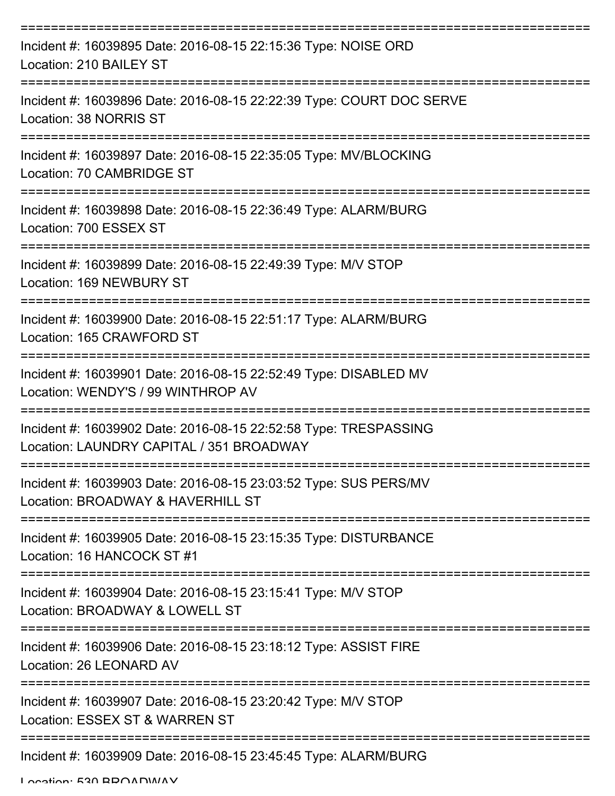| Incident #: 16039895 Date: 2016-08-15 22:15:36 Type: NOISE ORD<br>Location: 210 BAILEY ST                                   |
|-----------------------------------------------------------------------------------------------------------------------------|
| Incident #: 16039896 Date: 2016-08-15 22:22:39 Type: COURT DOC SERVE<br>Location: 38 NORRIS ST                              |
| Incident #: 16039897 Date: 2016-08-15 22:35:05 Type: MV/BLOCKING<br>Location: 70 CAMBRIDGE ST                               |
| Incident #: 16039898 Date: 2016-08-15 22:36:49 Type: ALARM/BURG<br>Location: 700 ESSEX ST                                   |
| Incident #: 16039899 Date: 2016-08-15 22:49:39 Type: M/V STOP<br>Location: 169 NEWBURY ST                                   |
| Incident #: 16039900 Date: 2016-08-15 22:51:17 Type: ALARM/BURG<br>Location: 165 CRAWFORD ST                                |
| Incident #: 16039901 Date: 2016-08-15 22:52:49 Type: DISABLED MV<br>Location: WENDY'S / 99 WINTHROP AV                      |
| Incident #: 16039902 Date: 2016-08-15 22:52:58 Type: TRESPASSING<br>Location: LAUNDRY CAPITAL / 351 BROADWAY                |
| ==================<br>Incident #: 16039903 Date: 2016-08-15 23:03:52 Type: SUS PERS/MV<br>Location: BROADWAY & HAVERHILL ST |
| Incident #: 16039905 Date: 2016-08-15 23:15:35 Type: DISTURBANCE<br>Location: 16 HANCOCK ST #1                              |
| Incident #: 16039904 Date: 2016-08-15 23:15:41 Type: M/V STOP<br>Location: BROADWAY & LOWELL ST                             |
| Incident #: 16039906 Date: 2016-08-15 23:18:12 Type: ASSIST FIRE<br>Location: 26 LEONARD AV                                 |
| Incident #: 16039907 Date: 2016-08-15 23:20:42 Type: M/V STOP<br>Location: ESSEX ST & WARREN ST                             |
| Incident #: 16039909 Date: 2016-08-15 23:45:45 Type: ALARM/BURG                                                             |

Location: 530 BROADWAY